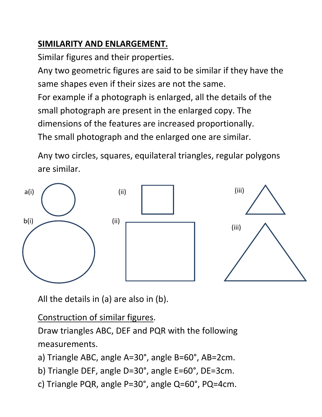### **SIMILARITY AND ENLARGEMENT.**

Similar figures and their properties.

Any two geometric figures are said to be similar if they have the same shapes even if their sizes are not the same.

For example if a photograph is enlarged, all the details of the small photograph are present in the enlarged copy. The dimensions of the features are increased proportionally. The small photograph and the enlarged one are similar.

Any two circles, squares, equilateral triangles, regular polygons are similar.



All the details in (a) are also in (b).

Construction of similar figures.

Draw triangles ABC, DEF and PQR with the following measurements.

a) Triangle ABC, angle A=30°, angle B=60°, AB=2cm.

- b) Triangle DEF, angle D=30°, angle E=60°, DE=3cm.
- c) Triangle PQR, angle P=30°, angle Q=60°, PQ=4cm.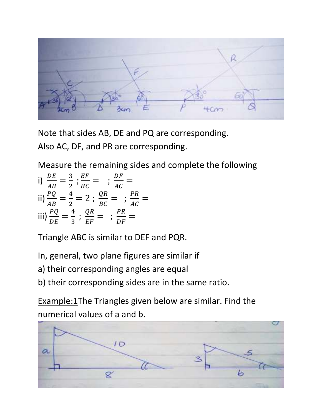Note that sides AB, DE and PQ are corresponding. Also AC, DF, and PR are corresponding.

Measure the remaining sides and complete the following

i) 
$$
\frac{DE}{AB} = \frac{3}{2} ; \frac{EF}{BC} = ; \frac{DF}{AC} =
$$
  
\nii)  $\frac{PQ}{AB} = \frac{4}{2} = 2 ; \frac{QR}{BC} = ; \frac{PR}{AC} =$   
\niii)  $\frac{PQ}{DE} = \frac{4}{3} ; \frac{QR}{EF} = ; \frac{PR}{DF} =$ 

Triangle ABC is similar to DEF and PQR.

In, general, two plane figures are similar if

a) their corresponding angles are equal

b) their corresponding sides are in the same ratio.

Example:1The Triangles given below are similar. Find the numerical values of a and b.

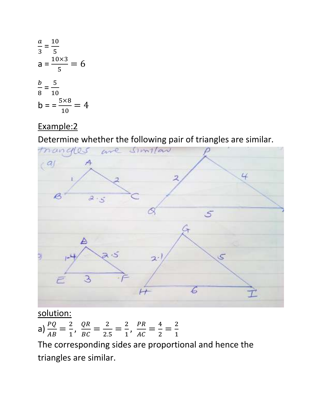$$
\frac{a}{3} = \frac{10}{5}
$$
  
\n
$$
a = \frac{10 \times 3}{5} = 6
$$
  
\n
$$
\frac{b}{8} = \frac{5}{10}
$$
  
\n
$$
b = \frac{5 \times 8}{10} = 4
$$

### Example:2

Determine whether the following pair of triangles are similar.



#### solution:

a)  $\frac{PQ}{4R}$  $\frac{PQ}{AB} = \frac{2}{1}$  $\frac{2}{1}$ ,  $\frac{QR}{BC}$  $\frac{QR}{BC} = \frac{2}{2}$  $\frac{2}{2.5} = \frac{2}{1}$  $\frac{2}{1}$ ,  $\frac{PR}{AC}$  $\frac{PR}{AC} = \frac{4}{2}$  $\frac{4}{2} = \frac{2}{1}$  $\mathbf{1}$ 

The corresponding sides are proportional and hence the triangles are similar.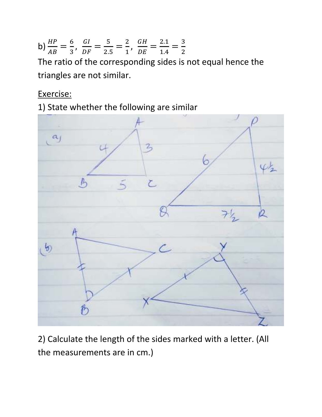b) 
$$
\frac{HP}{AB} = \frac{6}{3}, \ \frac{GI}{DF} = \frac{5}{2.5} = \frac{2}{1}, \ \frac{GH}{DE} = \frac{2.1}{1.4} = \frac{3}{2}
$$

The ratio of the corresponding sides is not equal hence the triangles are not similar.

Exercise:

1) State whether the following are similar



2) Calculate the length of the sides marked with a letter. (All the measurements are in cm.)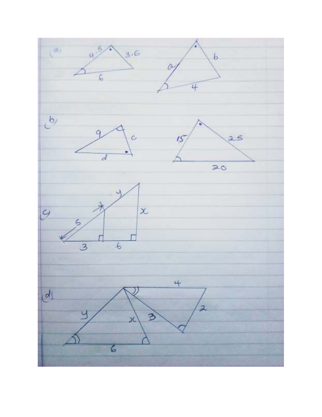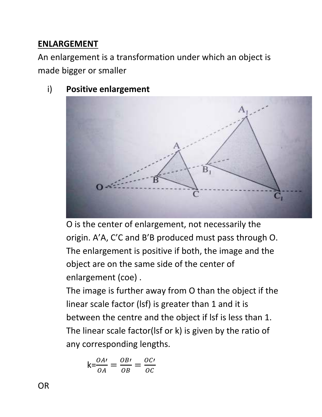### **ENLARGEMENT**

An enlargement is a transformation under which an object is made bigger or smaller

i) **Positive enlargement**



O is the center of enlargement, not necessarily the origin. A'A, C'C and B'B produced must pass through O. The enlargement is positive if both, the image and the object are on the same side of the center of enlargement (coe) .

The image is further away from O than the object if the linear scale factor (lsf) is greater than 1 and it is between the centre and the object if lsf is less than 1. The linear scale factor(lsf or k) is given by the ratio of any corresponding lengths.

$$
k = \frac{OA'}{OA} = \frac{OB'}{OB} = \frac{OC'}{OC}
$$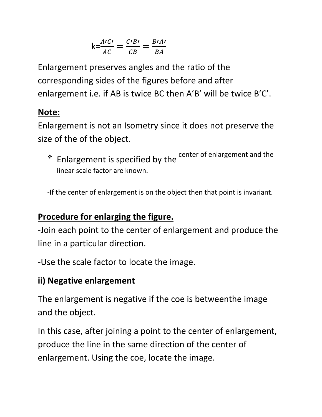$$
k = \frac{A'C'}{AC} = \frac{C'B'}{CB} = \frac{B'A'}{BA}
$$

Enlargement preserves angles and the ratio of the corresponding sides of the figures before and after enlargement i.e. if AB is twice BC then A'B' will be twice B'C'.

#### **Note:**

Enlargement is not an Isometry since it does not preserve the size of the of the object.

\* Enlargement is specified by the center of enlargement and the linear scale factor are known.

-If the center of enlargement is on the object then that point is invariant.

### **Procedure for enlarging the figure.**

-Join each point to the center of enlargement and produce the line in a particular direction.

-Use the scale factor to locate the image.

### **ii) Negative enlargement**

The enlargement is negative if the coe is betweenthe image and the object.

In this case, after joining a point to the center of enlargement, produce the line in the same direction of the center of enlargement. Using the coe, locate the image.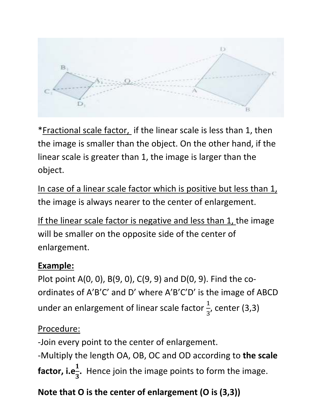$13 B_1$ D

\*Fractional scale factor, if the linear scale is less than 1, then the image is smaller than the object. On the other hand, if the linear scale is greater than 1, the image is larger than the object.

In case of a linear scale factor which is positive but less than 1, the image is always nearer to the center of enlargement.

If the linear scale factor is negative and less than 1, the image will be smaller on the opposite side of the center of enlargement.

### **Example:**

Plot point A(0, 0), B(9, 0), C(9, 9) and D(0, 9). Find the coordinates of A'B'C' and D' where A'B'C'D' is the image of ABCD under an enlargement of linear scale factor  $\frac{1}{2}$ 3 , center (3,3)

### Procedure:

-Join every point to the center of enlargement. -Multiply the length OA, OB, OC and OD according to **the scale factor, i.e** $\frac{1}{2}$ 3 **.** Hence join the image points to form the image.

# **Note that O is the center of enlargement (O is (3,3))**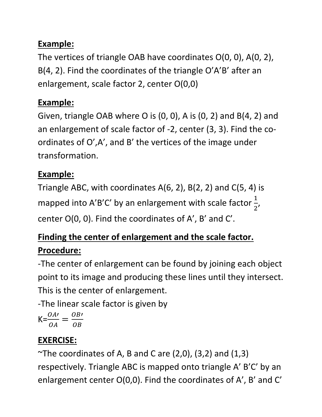## **Example:**

The vertices of triangle OAB have coordinates O(0, 0), A(0, 2), B(4, 2). Find the coordinates of the triangle O'A'B' after an enlargement, scale factor 2, center O(0,0)

### **Example:**

Given, triangle OAB where O is (0, 0), A is (0, 2) and B(4, 2) and an enlargement of scale factor of -2, center (3, 3). Find the coordinates of O',A', and B' the vertices of the image under transformation.

### **Example:**

Triangle ABC, with coordinates A(6, 2), B(2, 2) and C(5, 4) is mapped into A'B'C' by an enlargement with scale factor  $\frac{1}{2}$  $\overline{\mathbf{c}}$ , center O(0, 0). Find the coordinates of A', B' and C'.

## **Finding the center of enlargement and the scale factor. Procedure:**

-The center of enlargement can be found by joining each object point to its image and producing these lines until they intersect. This is the center of enlargement.

-The linear scale factor is given by

$$
K = \frac{OA'}{OA} = \frac{OB'}{OB}
$$

## **EXERCISE:**

 $\sim$ The coordinates of A, B and C are (2,0), (3,2) and (1,3) respectively. Triangle ABC is mapped onto triangle A' B'C' by an enlargement center O(0,0). Find the coordinates of A', B' and C'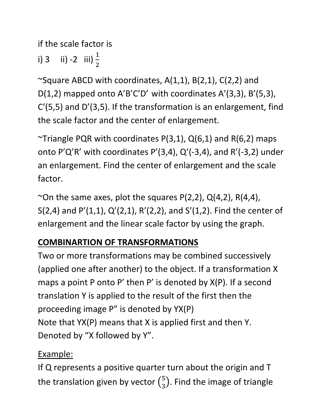if the scale factor is

i) 3 ii) -2 iii)  $\frac{1}{2}$  $\overline{\mathbf{c}}$ 

 $\sim$ Square ABCD with coordinates, A(1,1), B(2,1), C(2,2) and D(1,2) mapped onto A'B'C'D' with coordinates A'(3,3), B'(5,3), C'(5,5) and D'(3,5). If the transformation is an enlargement, find the scale factor and the center of enlargement.

~Triangle PQR with coordinates  $P(3,1)$ ,  $Q(6,1)$  and R(6,2) maps onto P'Q'R' with coordinates P'(3,4), Q'(-3,4), and R'(-3,2) under an enlargement. Find the center of enlargement and the scale factor.

~On the same axes, plot the squares  $P(2,2)$ ,  $Q(4,2)$ ,  $R(4,4)$ , S(2,4) and P'(1,1), Q'(2,1), R'(2,2), and S'(1,2). Find the center of enlargement and the linear scale factor by using the graph.

## **COMBINARTION OF TRANSFORMATIONS**

Two or more transformations may be combined successively (applied one after another) to the object. If a transformation X maps a point P onto P' then P' is denoted by X(P). If a second translation Y is applied to the result of the first then the proceeding image P" is denoted by YX(P) Note that YX(P) means that X is applied first and then Y. Denoted by "X followed by Y".

## Example:

If Q represents a positive quarter turn about the origin and T the translation given by vector  $\binom{5}{3}$  $\binom{5}{3}$ . Find the image of triangle